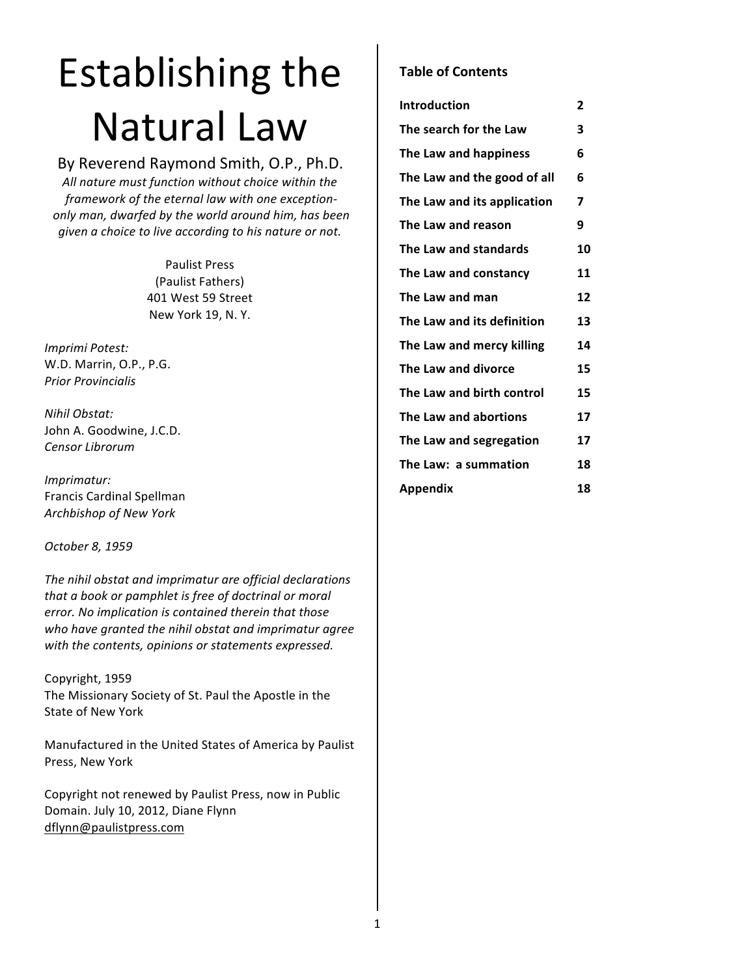# Establishing the **Natural Law**

# By Reverend Raymond Smith, O.P., Ph.D.

All nature must function without choice within the  *framework of the eternal law with one exception* only man, dwarfed by the world around him, has been *given a choice to live according to his nature or not.* 

> Paulist Press (Paulist Fathers) 401 West 59 Street New York 19, N.Y.

*Imprimi Potest:* W.D. Marrin, O.P., P.G. *Prior Provincialis*

*Nihil Obstat:* John A. Goodwine, J.C.D. *Censor Librorum*

*Imprimatur:* Francis Cardinal Spellman *Archbishop of New York*

*October 8, 1959*

The nihil obstat and imprimatur are official declarations that a book or pamphlet is free of doctrinal or moral error. No implication is contained therein that those who have granted the nihil obstat and imprimatur agree with the contents, opinions or statements expressed.

Copyright, 1959 The Missionary Society of St. Paul the Apostle in the State of New York

Manufactured in the United States of America by Paulist Press, New York

Copyright not renewed by Paulist Press, now in Public Domain. July 10, 2012, Diane Flynn dflynn@paulistpress.com

# **Table of Contents**

| Introduction                | $\mathbf{2}$ |
|-----------------------------|--------------|
| The search for the Law      | 3            |
| The Law and happiness       | 6            |
| The Law and the good of all | 6            |
| The Law and its application | 7            |
| The Law and reason          | 9            |
| The Law and standards       | 10           |
| The Law and constancy       | 11           |
| The Law and man             | 12           |
| The Law and its definition  | 13           |
| The Law and mercy killing   | 14           |
| The Law and divorce         | 15           |
| The Law and birth control   | 15           |
| The Law and abortions       | 17           |
| The Law and segregation     | 17           |
| The Law: a summation        | 18           |
| Appendix                    | 18           |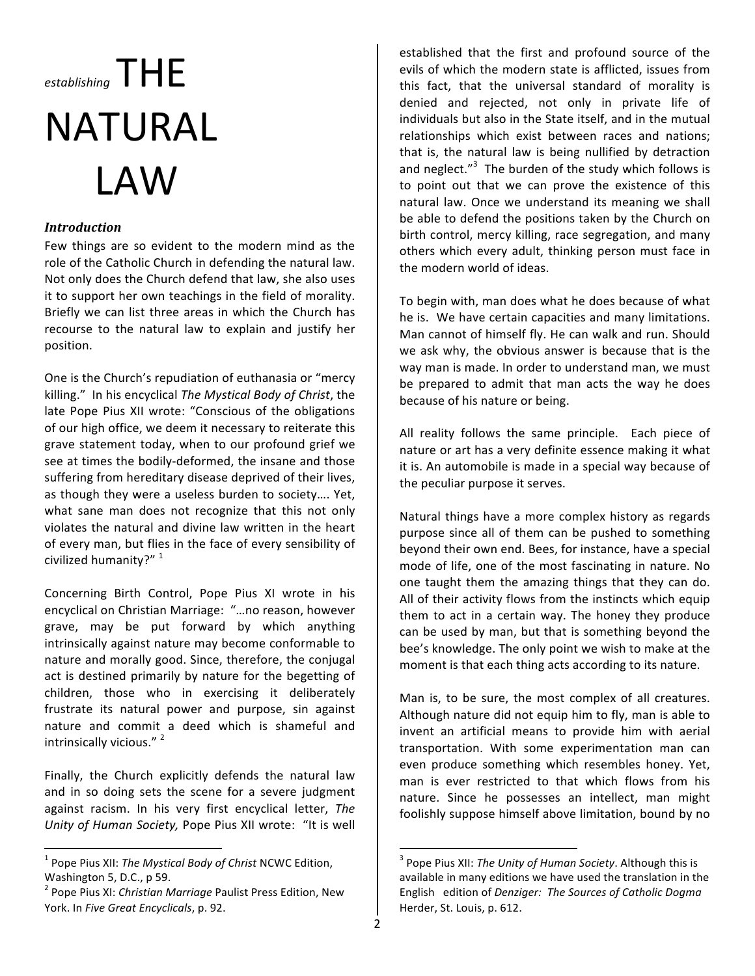# $_{\epsilon_{stablishing}}$   $\top$   $\vdash$   $\vdash$ NATURAL LAW

# *Introduction*

Few things are so evident to the modern mind as the role of the Catholic Church in defending the natural law. Not only does the Church defend that law, she also uses it to support her own teachings in the field of morality. Briefly we can list three areas in which the Church has recourse to the natural law to explain and justify her position.

One is the Church's repudiation of euthanasia or "mercy killing." In his encyclical *The Mystical Body of Christ*, the late Pope Pius XII wrote: "Conscious of the obligations of our high office, we deem it necessary to reiterate this grave statement today, when to our profound grief we see at times the bodily-deformed, the insane and those suffering from hereditary disease deprived of their lives, as though they were a useless burden to society.... Yet, what sane man does not recognize that this not only violates the natural and divine law written in the heart of every man, but flies in the face of every sensibility of civilized humanity?"<sup>1</sup>

Concerning Birth Control, Pope Pius XI wrote in his encyclical on Christian Marriage: "...no reason, however grave, may be put forward by which anything intrinsically against nature may become conformable to nature and morally good. Since, therefore, the conjugal act is destined primarily by nature for the begetting of children, those who in exercising it deliberately frustrate its natural power and purpose, sin against nature and commit a deed which is shameful and intrinsically vicious."<sup>2</sup>

Finally, the Church explicitly defends the natural law and in so doing sets the scene for a severe judgment against racism. In his very first encyclical letter, The Unity of Human Society, Pope Pius XII wrote: "It is well

<u> 1989 - Johann Stein, fransk politik (d. 1989)</u>

established that the first and profound source of the evils of which the modern state is afflicted, issues from this fact, that the universal standard of morality is denied and rejected, not only in private life of individuals but also in the State itself, and in the mutual relationships which exist between races and nations; that is, the natural law is being nullified by detraction and neglect." $3$  The burden of the study which follows is to point out that we can prove the existence of this natural law. Once we understand its meaning we shall be able to defend the positions taken by the Church on birth control, mercy killing, race segregation, and many others which every adult, thinking person must face in the modern world of ideas.

To begin with, man does what he does because of what he is. We have certain capacities and many limitations. Man cannot of himself fly. He can walk and run. Should we ask why, the obvious answer is because that is the way man is made. In order to understand man, we must be prepared to admit that man acts the way he does because of his nature or being.

All reality follows the same principle. Each piece of nature or art has a very definite essence making it what it is. An automobile is made in a special way because of the peculiar purpose it serves.

Natural things have a more complex history as regards purpose since all of them can be pushed to something beyond their own end. Bees, for instance, have a special mode of life, one of the most fascinating in nature. No one taught them the amazing things that they can do. All of their activity flows from the instincts which equip them to act in a certain way. The honey they produce can be used by man, but that is something beyond the bee's knowledge. The only point we wish to make at the moment is that each thing acts according to its nature.

Man is, to be sure, the most complex of all creatures. Although nature did not equip him to fly, man is able to invent an artificial means to provide him with aerial transportation. With some experimentation man can even produce something which resembles honey. Yet, man is ever restricted to that which flows from his nature. Since he possesses an intellect, man might foolishly suppose himself above limitation, bound by no

<u> 1989 - Johann Stein, fransk politik (d. 1989)</u>

<sup>&</sup>lt;sup>1</sup> Pope Pius XII: *The Mystical Body of Christ* NCWC Edition, Washington 5, D.C., p 59.

<sup>&</sup>lt;sup>2</sup> Pope Pius XI: *Christian Marriage* Paulist Press Edition, New York. In Five Great Encyclicals, p. 92.

<sup>&</sup>lt;sup>3</sup> Pope Pius XII: *The Unity of Human Society*. Although this is available in many editions we have used the translation in the English edition of *Denziger: The Sources of Catholic Dogma* Herder, St. Louis, p. 612.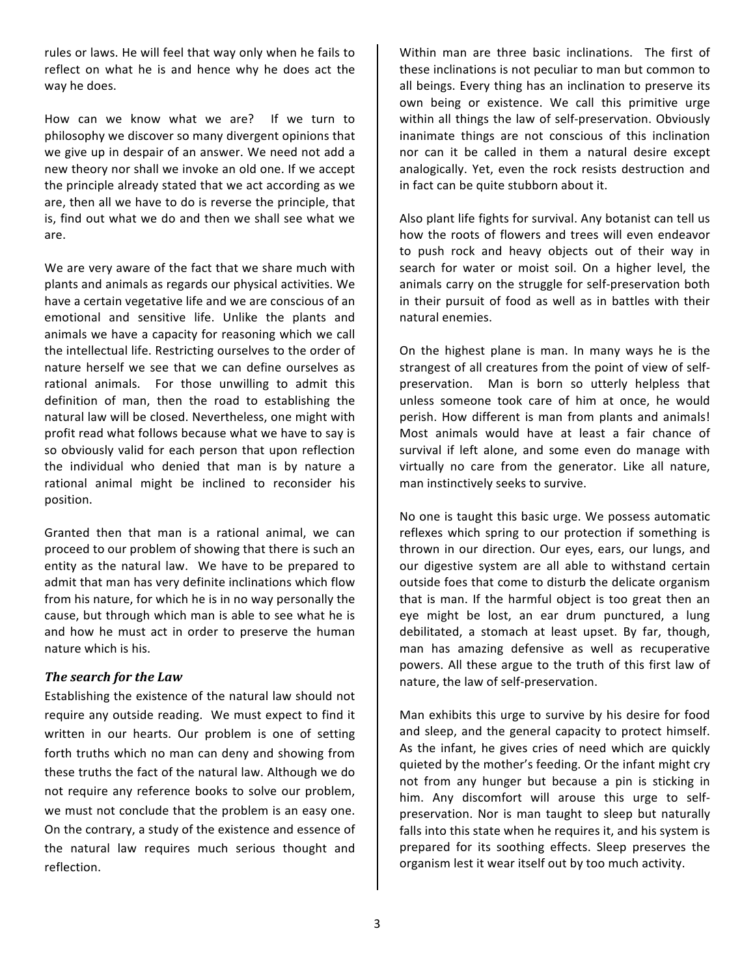rules or laws. He will feel that way only when he fails to reflect on what he is and hence why he does act the way he does.

How can we know what we are? If we turn to philosophy we discover so many divergent opinions that we give up in despair of an answer. We need not add a new theory nor shall we invoke an old one. If we accept the principle already stated that we act according as we are, then all we have to do is reverse the principle, that is, find out what we do and then we shall see what we are.

We are very aware of the fact that we share much with plants and animals as regards our physical activities. We have a certain vegetative life and we are conscious of an emotional and sensitive life. Unlike the plants and animals we have a capacity for reasoning which we call the intellectual life. Restricting ourselves to the order of nature herself we see that we can define ourselves as rational animals. For those unwilling to admit this definition of man, then the road to establishing the natural law will be closed. Nevertheless, one might with profit read what follows because what we have to say is so obviously valid for each person that upon reflection the individual who denied that man is by nature a rational animal might be inclined to reconsider his position.

Granted then that man is a rational animal, we can proceed to our problem of showing that there is such an entity as the natural law. We have to be prepared to admit that man has very definite inclinations which flow from his nature, for which he is in no way personally the cause, but through which man is able to see what he is and how he must act in order to preserve the human nature which is his.

#### **The search for the Law**

Establishing the existence of the natural law should not require any outside reading. We must expect to find it written in our hearts. Our problem is one of setting forth truths which no man can deny and showing from these truths the fact of the natural law. Although we do not require any reference books to solve our problem, we must not conclude that the problem is an easy one. On the contrary, a study of the existence and essence of the natural law requires much serious thought and reflection. 

Within man are three basic inclinations. The first of these inclinations is not peculiar to man but common to all beings. Every thing has an inclination to preserve its own being or existence. We call this primitive urge within all things the law of self-preservation. Obviously inanimate things are not conscious of this inclination nor can it be called in them a natural desire except analogically. Yet, even the rock resists destruction and in fact can be quite stubborn about it.

Also plant life fights for survival. Any botanist can tell us how the roots of flowers and trees will even endeavor to push rock and heavy objects out of their way in search for water or moist soil. On a higher level, the animals carry on the struggle for self-preservation both in their pursuit of food as well as in battles with their natural enemies.

On the highest plane is man. In many ways he is the strangest of all creatures from the point of view of selfpreservation. Man is born so utterly helpless that unless someone took care of him at once, he would perish. How different is man from plants and animals! Most animals would have at least a fair chance of survival if left alone, and some even do manage with virtually no care from the generator. Like all nature, man instinctively seeks to survive.

No one is taught this basic urge. We possess automatic reflexes which spring to our protection if something is thrown in our direction. Our eyes, ears, our lungs, and our digestive system are all able to withstand certain outside foes that come to disturb the delicate organism that is man. If the harmful object is too great then an eye might be lost, an ear drum punctured, a lung debilitated, a stomach at least upset. By far, though, man has amazing defensive as well as recuperative powers. All these argue to the truth of this first law of nature, the law of self-preservation.

Man exhibits this urge to survive by his desire for food and sleep, and the general capacity to protect himself. As the infant, he gives cries of need which are quickly quieted by the mother's feeding. Or the infant might cry not from any hunger but because a pin is sticking in him. Any discomfort will arouse this urge to selfpreservation. Nor is man taught to sleep but naturally falls into this state when he requires it, and his system is prepared for its soothing effects. Sleep preserves the organism lest it wear itself out by too much activity.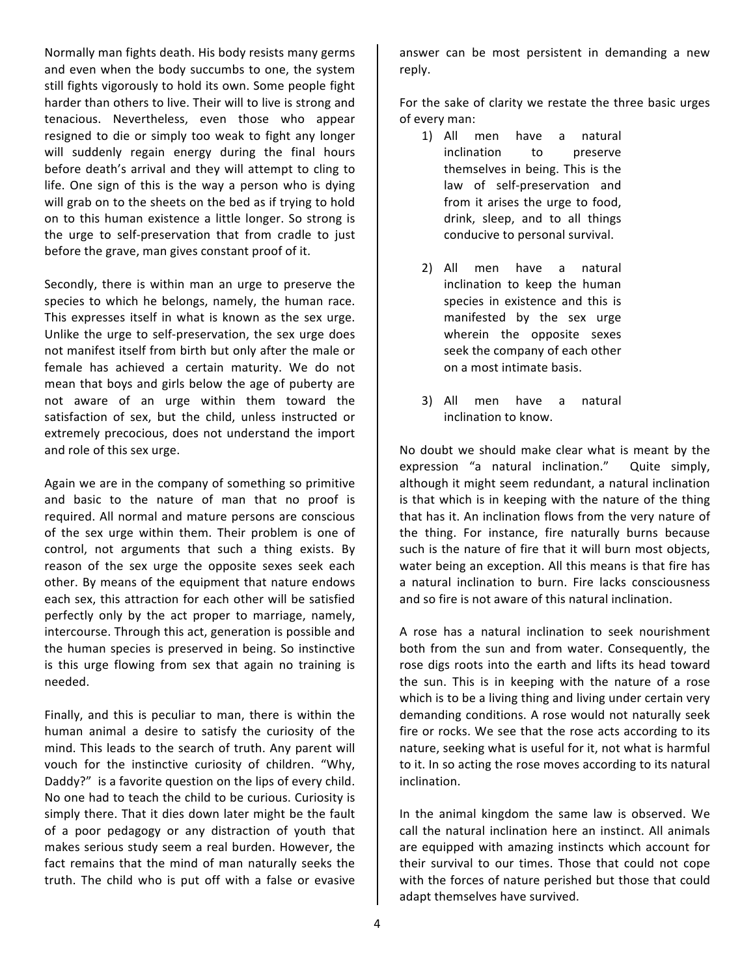4

Normally man fights death. His body resists many germs and even when the body succumbs to one, the system still fights vigorously to hold its own. Some people fight harder than others to live. Their will to live is strong and tenacious. Nevertheless, even those who appear resigned to die or simply too weak to fight any longer will suddenly regain energy during the final hours before death's arrival and they will attempt to cling to life. One sign of this is the way a person who is dying will grab on to the sheets on the bed as if trying to hold on to this human existence a little longer. So strong is the urge to self-preservation that from cradle to just before the grave, man gives constant proof of it.

Secondly, there is within man an urge to preserve the species to which he belongs, namely, the human race. This expresses itself in what is known as the sex urge. Unlike the urge to self-preservation, the sex urge does not manifest itself from birth but only after the male or female has achieved a certain maturity. We do not mean that boys and girls below the age of puberty are not aware of an urge within them toward the satisfaction of sex, but the child, unless instructed or extremely precocious, does not understand the import and role of this sex urge.

Again we are in the company of something so primitive and basic to the nature of man that no proof is required. All normal and mature persons are conscious of the sex urge within them. Their problem is one of control, not arguments that such a thing exists. By reason of the sex urge the opposite sexes seek each other. By means of the equipment that nature endows each sex, this attraction for each other will be satisfied perfectly only by the act proper to marriage, namely, intercourse. Through this act, generation is possible and the human species is preserved in being. So instinctive is this urge flowing from sex that again no training is needed. 

Finally, and this is peculiar to man, there is within the human animal a desire to satisfy the curiosity of the mind. This leads to the search of truth. Any parent will vouch for the instinctive curiosity of children. "Why, Daddy?" is a favorite question on the lips of every child. No one had to teach the child to be curious. Curiosity is simply there. That it dies down later might be the fault of a poor pedagogy or any distraction of youth that makes serious study seem a real burden. However, the fact remains that the mind of man naturally seeks the truth. The child who is put off with a false or evasive

answer can be most persistent in demanding a new reply.

For the sake of clarity we restate the three basic urges of every man:

- 1) All men have a natural inclination to preserve themselves in being. This is the law of self-preservation and from it arises the urge to food, drink, sleep, and to all things conducive to personal survival.
- 2) All men have a natural inclination to keep the human species in existence and this is manifested by the sex urge wherein the opposite sexes seek the company of each other on a most intimate basis.
- 3) All men have a natural inclination to know.

No doubt we should make clear what is meant by the expression "a natural inclination." Quite simply, although it might seem redundant, a natural inclination is that which is in keeping with the nature of the thing that has it. An inclination flows from the very nature of the thing. For instance, fire naturally burns because such is the nature of fire that it will burn most objects, water being an exception. All this means is that fire has a natural inclination to burn. Fire lacks consciousness and so fire is not aware of this natural inclination.

A rose has a natural inclination to seek nourishment both from the sun and from water. Consequently, the rose digs roots into the earth and lifts its head toward the sun. This is in keeping with the nature of a rose which is to be a living thing and living under certain very demanding conditions. A rose would not naturally seek fire or rocks. We see that the rose acts according to its nature, seeking what is useful for it, not what is harmful to it. In so acting the rose moves according to its natural inclination.

In the animal kingdom the same law is observed. We call the natural inclination here an instinct. All animals are equipped with amazing instincts which account for their survival to our times. Those that could not cope with the forces of nature perished but those that could adapt themselves have survived.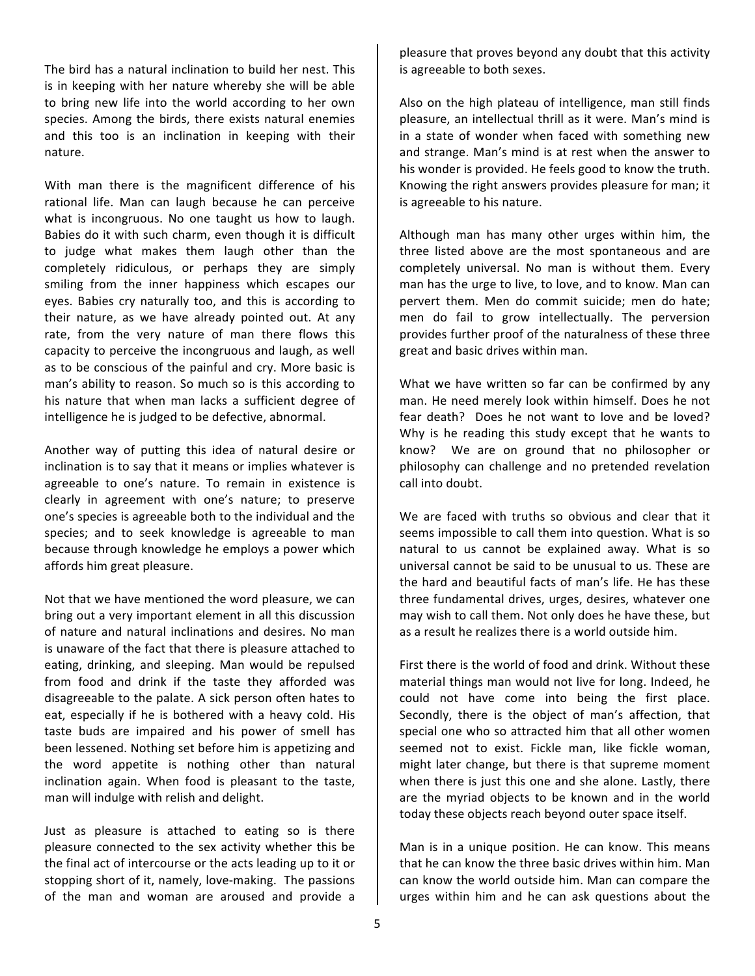The bird has a natural inclination to build her nest. This is in keeping with her nature whereby she will be able to bring new life into the world according to her own species. Among the birds, there exists natural enemies and this too is an inclination in keeping with their nature.

With man there is the magnificent difference of his rational life. Man can laugh because he can perceive what is incongruous. No one taught us how to laugh. Babies do it with such charm, even though it is difficult to judge what makes them laugh other than the completely ridiculous, or perhaps they are simply smiling from the inner happiness which escapes our eyes. Babies cry naturally too, and this is according to their nature, as we have already pointed out. At any rate, from the very nature of man there flows this capacity to perceive the incongruous and laugh, as well as to be conscious of the painful and cry. More basic is man's ability to reason. So much so is this according to his nature that when man lacks a sufficient degree of intelligence he is judged to be defective, abnormal.

Another way of putting this idea of natural desire or inclination is to say that it means or implies whatever is agreeable to one's nature. To remain in existence is clearly in agreement with one's nature; to preserve one's species is agreeable both to the individual and the species; and to seek knowledge is agreeable to man because through knowledge he employs a power which affords him great pleasure.

Not that we have mentioned the word pleasure, we can bring out a very important element in all this discussion of nature and natural inclinations and desires. No man is unaware of the fact that there is pleasure attached to eating, drinking, and sleeping. Man would be repulsed from food and drink if the taste they afforded was disagreeable to the palate. A sick person often hates to eat, especially if he is bothered with a heavy cold. His taste buds are impaired and his power of smell has been lessened. Nothing set before him is appetizing and the word appetite is nothing other than natural inclination again. When food is pleasant to the taste, man will indulge with relish and delight.

Just as pleasure is attached to eating so is there pleasure connected to the sex activity whether this be the final act of intercourse or the acts leading up to it or stopping short of it, namely, love-making. The passions of the man and woman are aroused and provide a

pleasure that proves beyond any doubt that this activity is agreeable to both sexes.

Also on the high plateau of intelligence, man still finds pleasure, an intellectual thrill as it were. Man's mind is in a state of wonder when faced with something new and strange. Man's mind is at rest when the answer to his wonder is provided. He feels good to know the truth. Knowing the right answers provides pleasure for man; it is agreeable to his nature.

Although man has many other urges within him, the three listed above are the most spontaneous and are completely universal. No man is without them. Every man has the urge to live, to love, and to know. Man can pervert them. Men do commit suicide; men do hate; men do fail to grow intellectually. The perversion provides further proof of the naturalness of these three great and basic drives within man.

What we have written so far can be confirmed by any man. He need merely look within himself. Does he not fear death? Does he not want to love and be loved? Why is he reading this study except that he wants to know? We are on ground that no philosopher or philosophy can challenge and no pretended revelation call into doubt.

We are faced with truths so obvious and clear that it seems impossible to call them into question. What is so natural to us cannot be explained away. What is so universal cannot be said to be unusual to us. These are the hard and beautiful facts of man's life. He has these three fundamental drives, urges, desires, whatever one may wish to call them. Not only does he have these, but as a result he realizes there is a world outside him.

First there is the world of food and drink. Without these material things man would not live for long. Indeed, he could not have come into being the first place. Secondly, there is the object of man's affection, that special one who so attracted him that all other women seemed not to exist. Fickle man, like fickle woman, might later change, but there is that supreme moment when there is just this one and she alone. Lastly, there are the myriad objects to be known and in the world today these objects reach beyond outer space itself.

Man is in a unique position. He can know. This means that he can know the three basic drives within him. Man can know the world outside him. Man can compare the urges within him and he can ask questions about the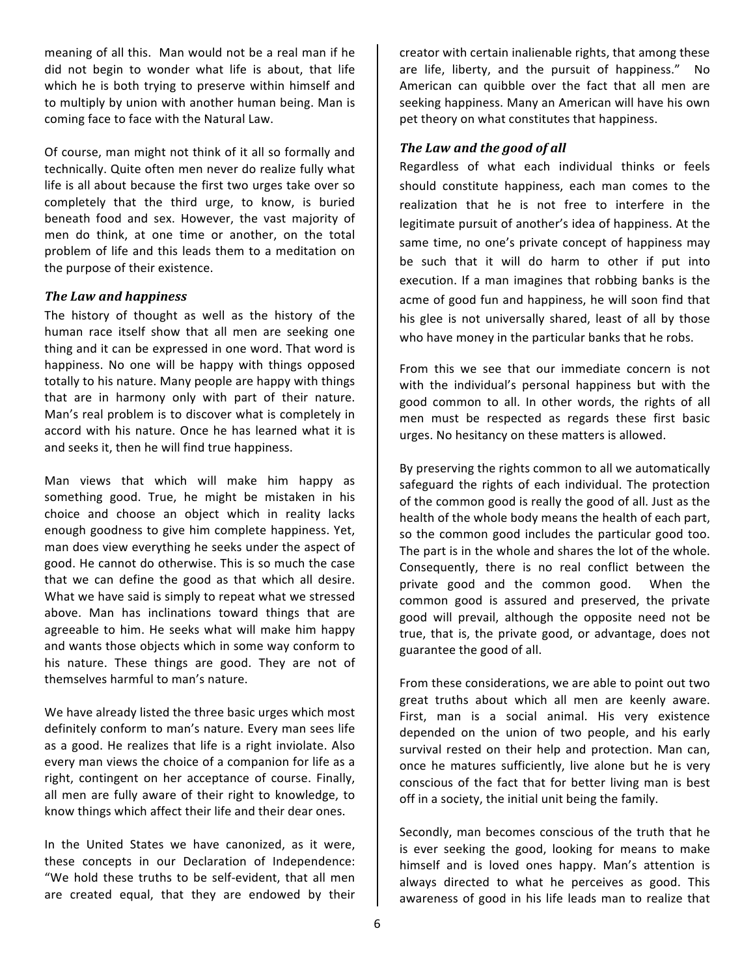meaning of all this. Man would not be a real man if he did not begin to wonder what life is about, that life which he is both trying to preserve within himself and to multiply by union with another human being. Man is coming face to face with the Natural Law.

Of course, man might not think of it all so formally and technically. Quite often men never do realize fully what life is all about because the first two urges take over so completely that the third urge, to know, is buried beneath food and sex. However, the vast majority of men do think, at one time or another, on the total problem of life and this leads them to a meditation on the purpose of their existence.

#### *The Law and happiness*

The history of thought as well as the history of the human race itself show that all men are seeking one thing and it can be expressed in one word. That word is happiness. No one will be happy with things opposed totally to his nature. Many people are happy with things that are in harmony only with part of their nature. Man's real problem is to discover what is completely in accord with his nature. Once he has learned what it is and seeks it, then he will find true happiness.

Man views that which will make him happy as something good. True, he might be mistaken in his choice and choose an object which in reality lacks enough goodness to give him complete happiness. Yet, man does view everything he seeks under the aspect of good. He cannot do otherwise. This is so much the case that we can define the good as that which all desire. What we have said is simply to repeat what we stressed above. Man has inclinations toward things that are agreeable to him. He seeks what will make him happy and wants those objects which in some way conform to his nature. These things are good. They are not of themselves harmful to man's nature.

We have already listed the three basic urges which most definitely conform to man's nature. Every man sees life as a good. He realizes that life is a right inviolate. Also every man views the choice of a companion for life as a right, contingent on her acceptance of course. Finally, all men are fully aware of their right to knowledge, to know things which affect their life and their dear ones.

In the United States we have canonized, as it were, these concepts in our Declaration of Independence: "We hold these truths to be self-evident, that all men are created equal, that they are endowed by their

creator with certain inalienable rights, that among these are life, liberty, and the pursuit of happiness." No American can quibble over the fact that all men are seeking happiness. Many an American will have his own pet theory on what constitutes that happiness.

# **The Law and the good of all**

Regardless of what each individual thinks or feels should constitute happiness, each man comes to the realization that he is not free to interfere in the legitimate pursuit of another's idea of happiness. At the same time, no one's private concept of happiness may be such that it will do harm to other if put into execution. If a man imagines that robbing banks is the acme of good fun and happiness, he will soon find that his glee is not universally shared, least of all by those who have money in the particular banks that he robs.

From this we see that our immediate concern is not with the individual's personal happiness but with the good common to all. In other words, the rights of all men must be respected as regards these first basic urges. No hesitancy on these matters is allowed.

By preserving the rights common to all we automatically safeguard the rights of each individual. The protection of the common good is really the good of all. Just as the health of the whole body means the health of each part, so the common good includes the particular good too. The part is in the whole and shares the lot of the whole. Consequently, there is no real conflict between the private good and the common good. When the common good is assured and preserved, the private good will prevail, although the opposite need not be true, that is, the private good, or advantage, does not guarantee the good of all.

From these considerations, we are able to point out two great truths about which all men are keenly aware. First, man is a social animal. His very existence depended on the union of two people, and his early survival rested on their help and protection. Man can, once he matures sufficiently, live alone but he is very conscious of the fact that for better living man is best off in a society, the initial unit being the family.

Secondly, man becomes conscious of the truth that he is ever seeking the good, looking for means to make himself and is loved ones happy. Man's attention is always directed to what he perceives as good. This awareness of good in his life leads man to realize that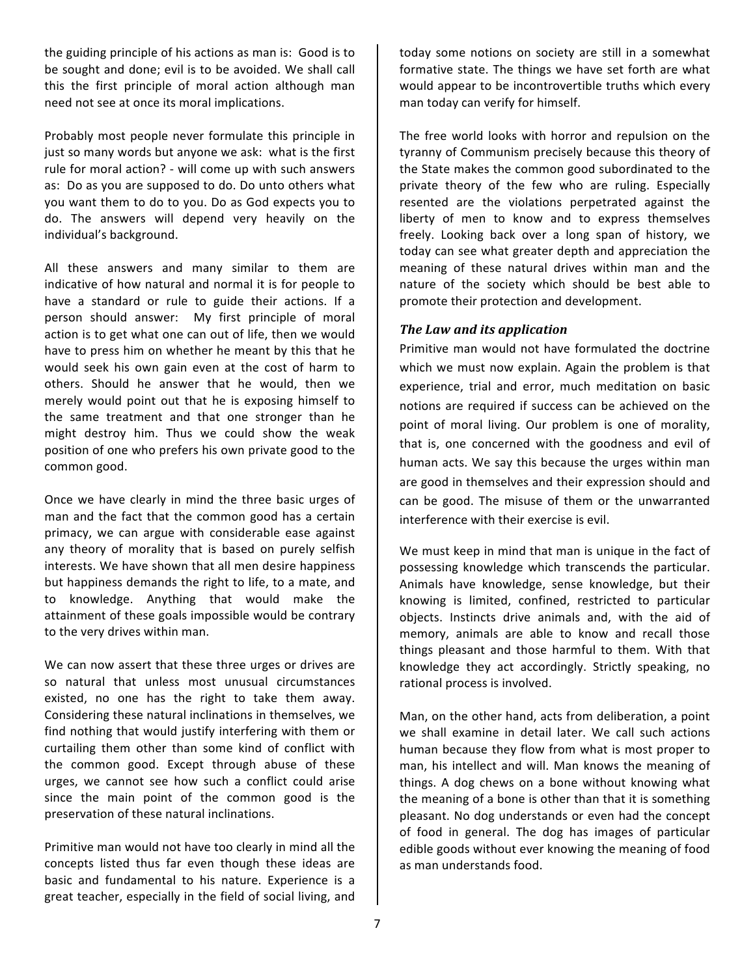the guiding principle of his actions as man is: Good is to be sought and done; evil is to be avoided. We shall call this the first principle of moral action although man need not see at once its moral implications.

Probably most people never formulate this principle in just so many words but anyone we ask: what is the first rule for moral action? - will come up with such answers as: Do as you are supposed to do. Do unto others what you want them to do to you. Do as God expects you to do. The answers will depend very heavily on the individual's background.

All these answers and many similar to them are indicative of how natural and normal it is for people to have a standard or rule to guide their actions. If a person should answer: My first principle of moral action is to get what one can out of life, then we would have to press him on whether he meant by this that he would seek his own gain even at the cost of harm to others. Should he answer that he would, then we merely would point out that he is exposing himself to the same treatment and that one stronger than he might destroy him. Thus we could show the weak position of one who prefers his own private good to the common good.

Once we have clearly in mind the three basic urges of man and the fact that the common good has a certain primacy, we can argue with considerable ease against any theory of morality that is based on purely selfish interests. We have shown that all men desire happiness but happiness demands the right to life, to a mate, and to knowledge. Anything that would make the attainment of these goals impossible would be contrary to the very drives within man.

We can now assert that these three urges or drives are so natural that unless most unusual circumstances existed, no one has the right to take them away. Considering these natural inclinations in themselves, we find nothing that would justify interfering with them or curtailing them other than some kind of conflict with the common good. Except through abuse of these urges, we cannot see how such a conflict could arise since the main point of the common good is the preservation of these natural inclinations.

Primitive man would not have too clearly in mind all the concepts listed thus far even though these ideas are basic and fundamental to his nature. Experience is a great teacher, especially in the field of social living, and

today some notions on society are still in a somewhat formative state. The things we have set forth are what would appear to be incontrovertible truths which every man today can verify for himself.

The free world looks with horror and repulsion on the tyranny of Communism precisely because this theory of the State makes the common good subordinated to the private theory of the few who are ruling. Especially resented are the violations perpetrated against the liberty of men to know and to express themselves freely. Looking back over a long span of history, we today can see what greater depth and appreciation the meaning of these natural drives within man and the nature of the society which should be best able to promote their protection and development.

## *The Law and its application*

Primitive man would not have formulated the doctrine which we must now explain. Again the problem is that experience, trial and error, much meditation on basic notions are required if success can be achieved on the point of moral living. Our problem is one of morality, that is, one concerned with the goodness and evil of human acts. We say this because the urges within man are good in themselves and their expression should and can be good. The misuse of them or the unwarranted interference with their exercise is evil.

We must keep in mind that man is unique in the fact of possessing knowledge which transcends the particular. Animals have knowledge, sense knowledge, but their knowing is limited, confined, restricted to particular objects. Instincts drive animals and, with the aid of memory, animals are able to know and recall those things pleasant and those harmful to them. With that knowledge they act accordingly. Strictly speaking, no rational process is involved.

Man, on the other hand, acts from deliberation, a point we shall examine in detail later. We call such actions human because they flow from what is most proper to man, his intellect and will. Man knows the meaning of things. A dog chews on a bone without knowing what the meaning of a bone is other than that it is something pleasant. No dog understands or even had the concept of food in general. The dog has images of particular edible goods without ever knowing the meaning of food as man understands food.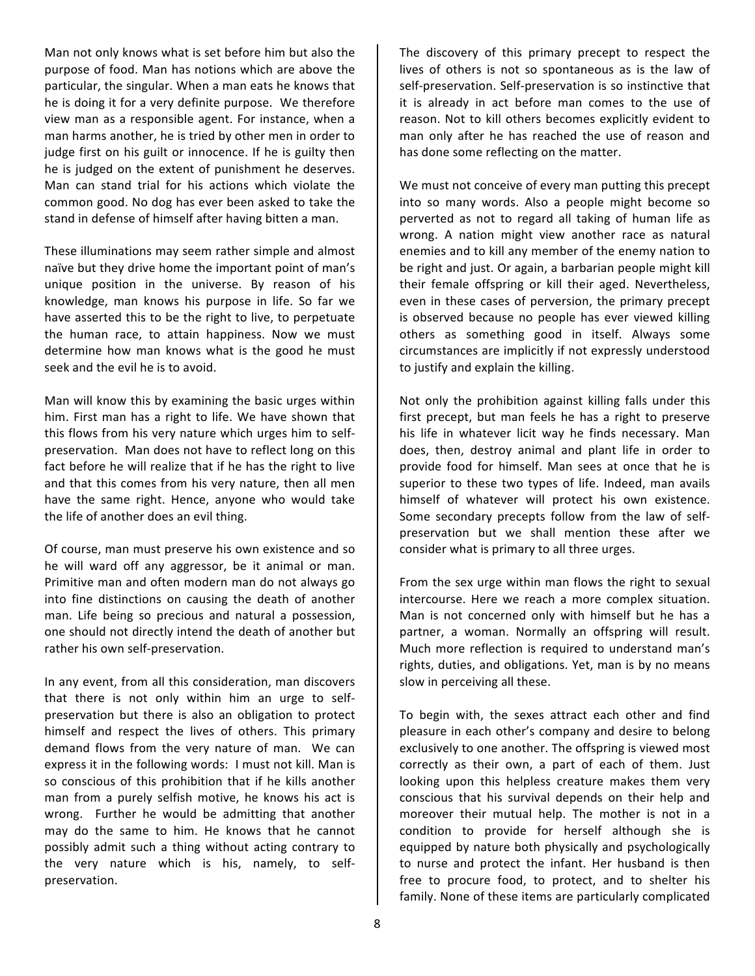Man not only knows what is set before him but also the purpose of food. Man has notions which are above the particular, the singular. When a man eats he knows that he is doing it for a very definite purpose. We therefore view man as a responsible agent. For instance, when a man harms another, he is tried by other men in order to judge first on his guilt or innocence. If he is guilty then he is judged on the extent of punishment he deserves. Man can stand trial for his actions which violate the common good. No dog has ever been asked to take the stand in defense of himself after having bitten a man.

These illuminations may seem rather simple and almost naïve but they drive home the important point of man's unique position in the universe. By reason of his knowledge, man knows his purpose in life. So far we have asserted this to be the right to live, to perpetuate the human race, to attain happiness. Now we must determine how man knows what is the good he must seek and the evil he is to avoid.

Man will know this by examining the basic urges within him. First man has a right to life. We have shown that this flows from his very nature which urges him to selfpreservation. Man does not have to reflect long on this fact before he will realize that if he has the right to live and that this comes from his very nature, then all men have the same right. Hence, anyone who would take the life of another does an evil thing.

Of course, man must preserve his own existence and so he will ward off any aggressor, be it animal or man. Primitive man and often modern man do not always go into fine distinctions on causing the death of another man. Life being so precious and natural a possession, one should not directly intend the death of another but rather his own self-preservation.

In any event, from all this consideration, man discovers that there is not only within him an urge to selfpreservation but there is also an obligation to protect himself and respect the lives of others. This primary demand flows from the very nature of man. We can express it in the following words: I must not kill. Man is so conscious of this prohibition that if he kills another man from a purely selfish motive, he knows his act is wrong. Further he would be admitting that another may do the same to him. He knows that he cannot possibly admit such a thing without acting contrary to the very nature which is his, namely, to selfpreservation. 

The discovery of this primary precept to respect the lives of others is not so spontaneous as is the law of self-preservation. Self-preservation is so instinctive that it is already in act before man comes to the use of reason. Not to kill others becomes explicitly evident to man only after he has reached the use of reason and has done some reflecting on the matter.

We must not conceive of every man putting this precept into so many words. Also a people might become so perverted as not to regard all taking of human life as wrong. A nation might view another race as natural enemies and to kill any member of the enemy nation to be right and just. Or again, a barbarian people might kill their female offspring or kill their aged. Nevertheless, even in these cases of perversion, the primary precept is observed because no people has ever viewed killing others as something good in itself. Always some circumstances are implicitly if not expressly understood to justify and explain the killing.

Not only the prohibition against killing falls under this first precept, but man feels he has a right to preserve his life in whatever licit way he finds necessary. Man does, then, destroy animal and plant life in order to provide food for himself. Man sees at once that he is superior to these two types of life. Indeed, man avails himself of whatever will protect his own existence. Some secondary precepts follow from the law of selfpreservation but we shall mention these after we consider what is primary to all three urges.

From the sex urge within man flows the right to sexual intercourse. Here we reach a more complex situation. Man is not concerned only with himself but he has a partner, a woman. Normally an offspring will result. Much more reflection is required to understand man's rights, duties, and obligations. Yet, man is by no means slow in perceiving all these.

To begin with, the sexes attract each other and find pleasure in each other's company and desire to belong exclusively to one another. The offspring is viewed most correctly as their own, a part of each of them. Just looking upon this helpless creature makes them very conscious that his survival depends on their help and moreover their mutual help. The mother is not in a condition to provide for herself although she is equipped by nature both physically and psychologically to nurse and protect the infant. Her husband is then free to procure food, to protect, and to shelter his family. None of these items are particularly complicated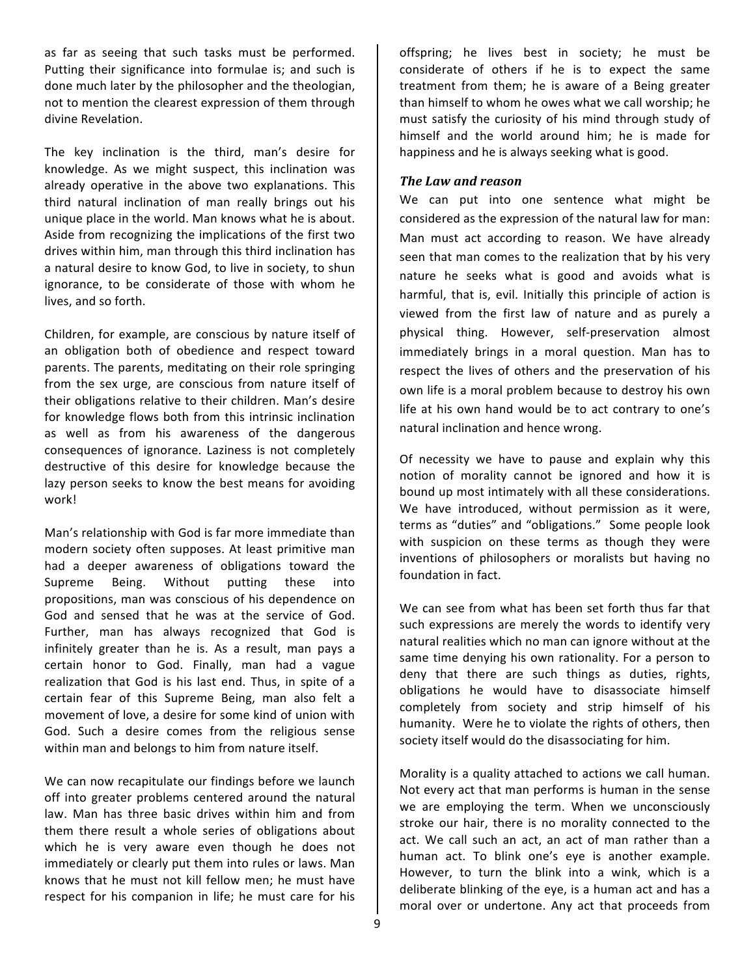as far as seeing that such tasks must be performed. Putting their significance into formulae is; and such is done much later by the philosopher and the theologian, not to mention the clearest expression of them through divine Revelation.

The key inclination is the third, man's desire for knowledge. As we might suspect, this inclination was already operative in the above two explanations. This third natural inclination of man really brings out his unique place in the world. Man knows what he is about. Aside from recognizing the implications of the first two drives within him, man through this third inclination has a natural desire to know God, to live in society, to shun ignorance, to be considerate of those with whom he lives, and so forth.

Children, for example, are conscious by nature itself of an obligation both of obedience and respect toward parents. The parents, meditating on their role springing from the sex urge, are conscious from nature itself of their obligations relative to their children. Man's desire for knowledge flows both from this intrinsic inclination as well as from his awareness of the dangerous consequences of ignorance. Laziness is not completely destructive of this desire for knowledge because the lazy person seeks to know the best means for avoiding work!

Man's relationship with God is far more immediate than modern society often supposes. At least primitive man had a deeper awareness of obligations toward the Supreme Being. Without putting these into propositions, man was conscious of his dependence on God and sensed that he was at the service of God. Further, man has always recognized that God is infinitely greater than he is. As a result, man pays a certain honor to God. Finally, man had a vague realization that God is his last end. Thus, in spite of a certain fear of this Supreme Being, man also felt a movement of love, a desire for some kind of union with God. Such a desire comes from the religious sense within man and belongs to him from nature itself.

We can now recapitulate our findings before we launch off into greater problems centered around the natural law. Man has three basic drives within him and from them there result a whole series of obligations about which he is very aware even though he does not immediately or clearly put them into rules or laws. Man knows that he must not kill fellow men; he must have respect for his companion in life; he must care for his offspring; he lives best in society; he must be considerate of others if he is to expect the same treatment from them; he is aware of a Being greater than himself to whom he owes what we call worship; he must satisfy the curiosity of his mind through study of himself and the world around him; he is made for happiness and he is always seeking what is good.

#### **The Law and reason**

We can put into one sentence what might be considered as the expression of the natural law for man: Man must act according to reason. We have already seen that man comes to the realization that by his very nature he seeks what is good and avoids what is harmful, that is, evil. Initially this principle of action is viewed from the first law of nature and as purely a physical thing. However, self-preservation almost immediately brings in a moral question. Man has to respect the lives of others and the preservation of his own life is a moral problem because to destroy his own life at his own hand would be to act contrary to one's natural inclination and hence wrong.

Of necessity we have to pause and explain why this notion of morality cannot be ignored and how it is bound up most intimately with all these considerations. We have introduced, without permission as it were, terms as "duties" and "obligations." Some people look with suspicion on these terms as though they were inventions of philosophers or moralists but having no foundation in fact.

We can see from what has been set forth thus far that such expressions are merely the words to identify very natural realities which no man can ignore without at the same time denying his own rationality. For a person to deny that there are such things as duties, rights, obligations he would have to disassociate himself completely from society and strip himself of his humanity. Were he to violate the rights of others, then society itself would do the disassociating for him.

Morality is a quality attached to actions we call human. Not every act that man performs is human in the sense we are employing the term. When we unconsciously stroke our hair, there is no morality connected to the act. We call such an act, an act of man rather than a human act. To blink one's eye is another example. However, to turn the blink into a wink, which is a deliberate blinking of the eye, is a human act and has a moral over or undertone. Any act that proceeds from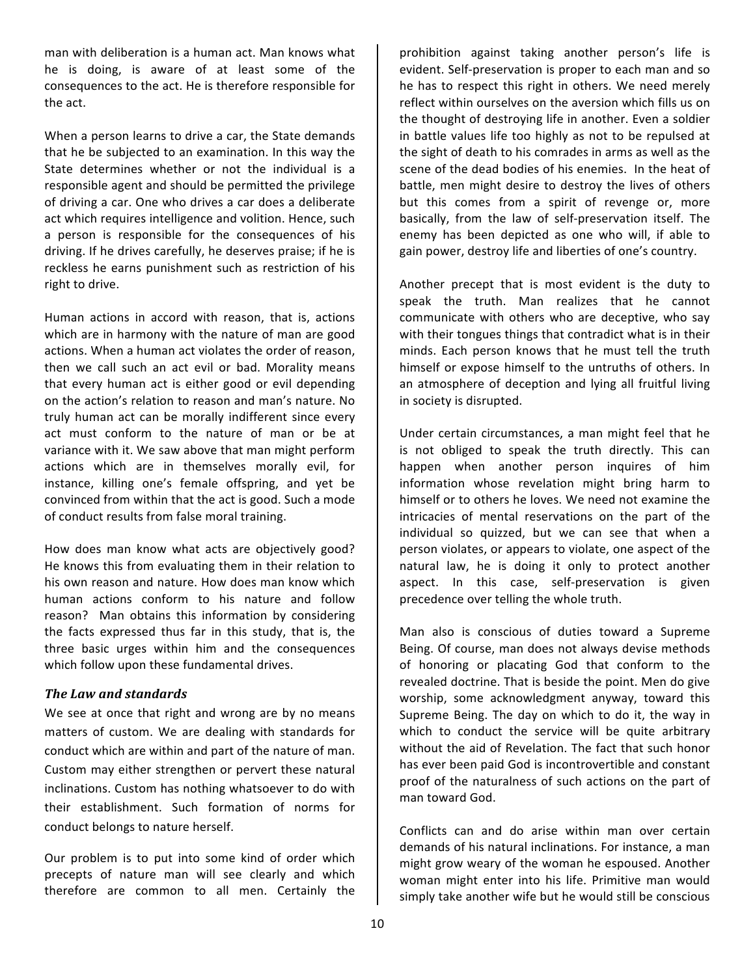man with deliberation is a human act. Man knows what he is doing, is aware of at least some of the consequences to the act. He is therefore responsible for the act.

When a person learns to drive a car, the State demands that he be subjected to an examination. In this way the State determines whether or not the individual is a responsible agent and should be permitted the privilege of driving a car. One who drives a car does a deliberate act which requires intelligence and volition. Hence, such a person is responsible for the consequences of his driving. If he drives carefully, he deserves praise; if he is reckless he earns punishment such as restriction of his right to drive.

Human actions in accord with reason, that is, actions which are in harmony with the nature of man are good actions. When a human act violates the order of reason, then we call such an act evil or bad. Morality means that every human act is either good or evil depending on the action's relation to reason and man's nature. No truly human act can be morally indifferent since every act must conform to the nature of man or be at variance with it. We saw above that man might perform actions which are in themselves morally evil, for instance, killing one's female offspring, and yet be convinced from within that the act is good. Such a mode of conduct results from false moral training.

How does man know what acts are objectively good? He knows this from evaluating them in their relation to his own reason and nature. How does man know which human actions conform to his nature and follow reason? Man obtains this information by considering the facts expressed thus far in this study, that is, the three basic urges within him and the consequences which follow upon these fundamental drives.

#### **The Law and standards**

We see at once that right and wrong are by no means matters of custom. We are dealing with standards for conduct which are within and part of the nature of man. Custom may either strengthen or pervert these natural inclinations. Custom has nothing whatsoever to do with their establishment. Such formation of norms for conduct belongs to nature herself.

Our problem is to put into some kind of order which precepts of nature man will see clearly and which therefore are common to all men. Certainly the

prohibition against taking another person's life is evident. Self-preservation is proper to each man and so he has to respect this right in others. We need merely reflect within ourselves on the aversion which fills us on the thought of destroying life in another. Even a soldier in battle values life too highly as not to be repulsed at the sight of death to his comrades in arms as well as the scene of the dead bodies of his enemies. In the heat of battle, men might desire to destroy the lives of others but this comes from a spirit of revenge or, more basically, from the law of self-preservation itself. The enemy has been depicted as one who will, if able to gain power, destroy life and liberties of one's country.

Another precept that is most evident is the duty to speak the truth. Man realizes that he cannot communicate with others who are deceptive, who say with their tongues things that contradict what is in their minds. Each person knows that he must tell the truth himself or expose himself to the untruths of others. In an atmosphere of deception and lying all fruitful living in society is disrupted.

Under certain circumstances, a man might feel that he is not obliged to speak the truth directly. This can happen when another person inquires of him information whose revelation might bring harm to himself or to others he loves. We need not examine the intricacies of mental reservations on the part of the individual so quizzed, but we can see that when a person violates, or appears to violate, one aspect of the natural law, he is doing it only to protect another aspect. In this case, self-preservation is given precedence over telling the whole truth.

Man also is conscious of duties toward a Supreme Being. Of course, man does not always devise methods of honoring or placating God that conform to the revealed doctrine. That is beside the point. Men do give worship, some acknowledgment anyway, toward this Supreme Being. The day on which to do it, the way in which to conduct the service will be quite arbitrary without the aid of Revelation. The fact that such honor has ever been paid God is incontrovertible and constant proof of the naturalness of such actions on the part of man toward God.

Conflicts can and do arise within man over certain demands of his natural inclinations. For instance, a man might grow weary of the woman he espoused. Another woman might enter into his life. Primitive man would simply take another wife but he would still be conscious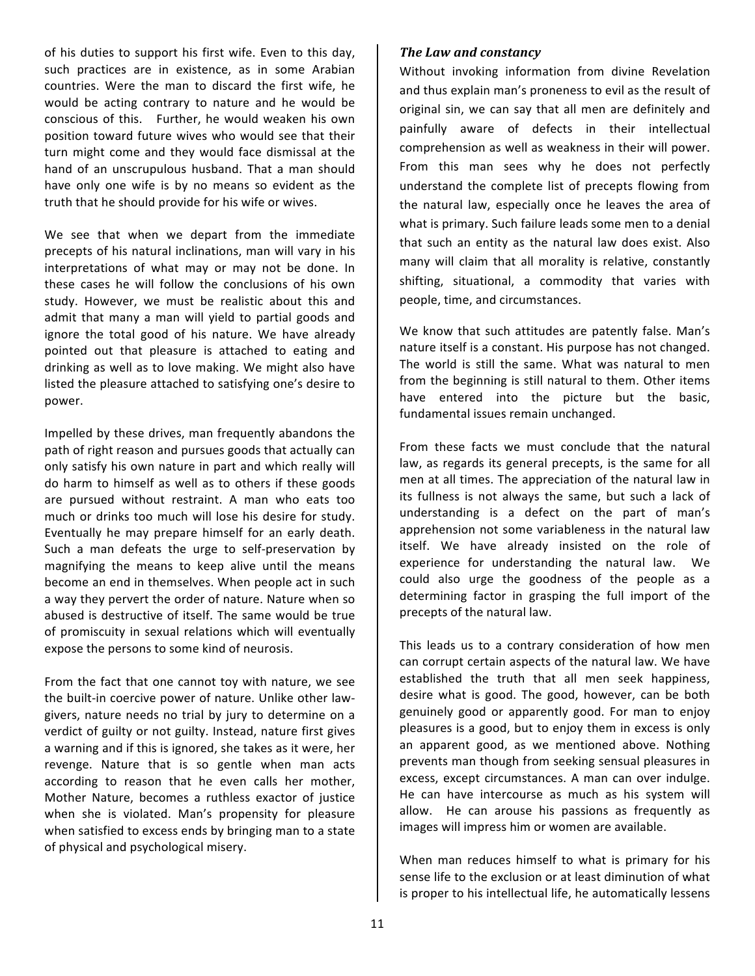of his duties to support his first wife. Even to this day, such practices are in existence, as in some Arabian countries. Were the man to discard the first wife, he would be acting contrary to nature and he would be conscious of this. Further, he would weaken his own position toward future wives who would see that their turn might come and they would face dismissal at the hand of an unscrupulous husband. That a man should have only one wife is by no means so evident as the truth that he should provide for his wife or wives.

We see that when we depart from the immediate precepts of his natural inclinations, man will vary in his interpretations of what may or may not be done. In these cases he will follow the conclusions of his own study. However, we must be realistic about this and admit that many a man will yield to partial goods and ignore the total good of his nature. We have already pointed out that pleasure is attached to eating and drinking as well as to love making. We might also have listed the pleasure attached to satisfying one's desire to power.

Impelled by these drives, man frequently abandons the path of right reason and pursues goods that actually can only satisfy his own nature in part and which really will do harm to himself as well as to others if these goods are pursued without restraint. A man who eats too much or drinks too much will lose his desire for study. Eventually he may prepare himself for an early death. Such a man defeats the urge to self-preservation by magnifying the means to keep alive until the means become an end in themselves. When people act in such a way they pervert the order of nature. Nature when so abused is destructive of itself. The same would be true of promiscuity in sexual relations which will eventually expose the persons to some kind of neurosis.

From the fact that one cannot toy with nature, we see the built-in coercive power of nature. Unlike other lawgivers, nature needs no trial by jury to determine on a verdict of guilty or not guilty. Instead, nature first gives a warning and if this is ignored, she takes as it were, her revenge. Nature that is so gentle when man acts according to reason that he even calls her mother, Mother Nature, becomes a ruthless exactor of justice when she is violated. Man's propensity for pleasure when satisfied to excess ends by bringing man to a state of physical and psychological misery.

#### **The Law and constancy**

Without invoking information from divine Revelation and thus explain man's proneness to evil as the result of original sin, we can say that all men are definitely and painfully aware of defects in their intellectual comprehension as well as weakness in their will power. From this man sees why he does not perfectly understand the complete list of precepts flowing from the natural law, especially once he leaves the area of what is primary. Such failure leads some men to a denial that such an entity as the natural law does exist. Also many will claim that all morality is relative, constantly shifting, situational, a commodity that varies with people, time, and circumstances.

We know that such attitudes are patently false. Man's nature itself is a constant. His purpose has not changed. The world is still the same. What was natural to men from the beginning is still natural to them. Other items have entered into the picture but the basic, fundamental issues remain unchanged.

From these facts we must conclude that the natural law, as regards its general precepts, is the same for all men at all times. The appreciation of the natural law in its fullness is not always the same, but such a lack of understanding is a defect on the part of man's apprehension not some variableness in the natural law itself. We have already insisted on the role of experience for understanding the natural law. We could also urge the goodness of the people as a determining factor in grasping the full import of the precepts of the natural law.

This leads us to a contrary consideration of how men can corrupt certain aspects of the natural law. We have established the truth that all men seek happiness, desire what is good. The good, however, can be both genuinely good or apparently good. For man to enjoy pleasures is a good, but to enjoy them in excess is only an apparent good, as we mentioned above. Nothing prevents man though from seeking sensual pleasures in excess, except circumstances. A man can over indulge. He can have intercourse as much as his system will allow. He can arouse his passions as frequently as images will impress him or women are available.

When man reduces himself to what is primary for his sense life to the exclusion or at least diminution of what is proper to his intellectual life, he automatically lessens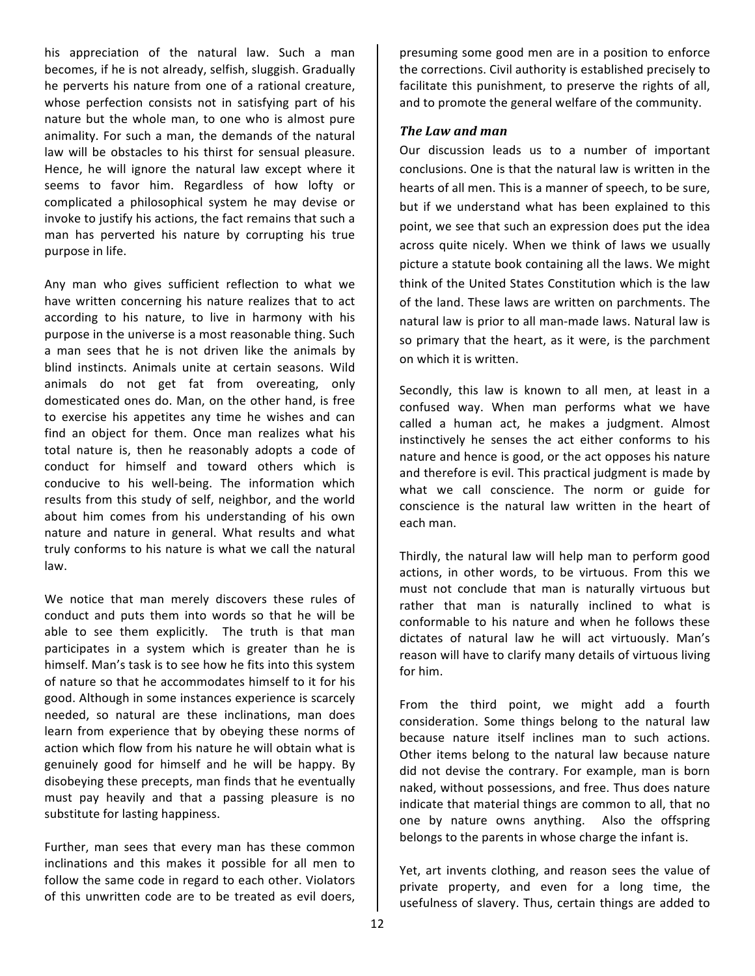his appreciation of the natural law. Such a man becomes, if he is not already, selfish, sluggish. Gradually he perverts his nature from one of a rational creature, whose perfection consists not in satisfying part of his nature but the whole man, to one who is almost pure animality. For such a man, the demands of the natural law will be obstacles to his thirst for sensual pleasure. Hence, he will ignore the natural law except where it seems to favor him. Regardless of how lofty or complicated a philosophical system he may devise or invoke to justify his actions, the fact remains that such a man has perverted his nature by corrupting his true purpose in life.

Any man who gives sufficient reflection to what we have written concerning his nature realizes that to act according to his nature, to live in harmony with his purpose in the universe is a most reasonable thing. Such a man sees that he is not driven like the animals by blind instincts. Animals unite at certain seasons. Wild animals do not get fat from overeating, only domesticated ones do. Man, on the other hand, is free to exercise his appetites any time he wishes and can find an object for them. Once man realizes what his total nature is, then he reasonably adopts a code of conduct for himself and toward others which is conducive to his well-being. The information which results from this study of self, neighbor, and the world about him comes from his understanding of his own nature and nature in general. What results and what truly conforms to his nature is what we call the natural law.

We notice that man merely discovers these rules of conduct and puts them into words so that he will be able to see them explicitly. The truth is that man participates in a system which is greater than he is himself. Man's task is to see how he fits into this system of nature so that he accommodates himself to it for his good. Although in some instances experience is scarcely needed, so natural are these inclinations, man does learn from experience that by obeying these norms of action which flow from his nature he will obtain what is genuinely good for himself and he will be happy. By disobeying these precepts, man finds that he eventually must pay heavily and that a passing pleasure is no substitute for lasting happiness.

Further, man sees that every man has these common inclinations and this makes it possible for all men to follow the same code in regard to each other. Violators of this unwritten code are to be treated as evil doers.

presuming some good men are in a position to enforce the corrections. Civil authority is established precisely to facilitate this punishment, to preserve the rights of all, and to promote the general welfare of the community.

#### *The Law and man*

Our discussion leads us to a number of important conclusions. One is that the natural law is written in the hearts of all men. This is a manner of speech, to be sure, but if we understand what has been explained to this point, we see that such an expression does put the idea across quite nicely. When we think of laws we usually picture a statute book containing all the laws. We might think of the United States Constitution which is the law of the land. These laws are written on parchments. The natural law is prior to all man-made laws. Natural law is so primary that the heart, as it were, is the parchment on which it is written.

Secondly, this law is known to all men, at least in a confused way. When man performs what we have called a human act, he makes a judgment. Almost instinctively he senses the act either conforms to his nature and hence is good, or the act opposes his nature and therefore is evil. This practical judgment is made by what we call conscience. The norm or guide for conscience is the natural law written in the heart of each man.

Thirdly, the natural law will help man to perform good actions, in other words, to be virtuous. From this we must not conclude that man is naturally virtuous but rather that man is naturally inclined to what is conformable to his nature and when he follows these dictates of natural law he will act virtuously. Man's reason will have to clarify many details of virtuous living for him.

From the third point, we might add a fourth consideration. Some things belong to the natural law because nature itself inclines man to such actions. Other items belong to the natural law because nature did not devise the contrary. For example, man is born naked, without possessions, and free. Thus does nature indicate that material things are common to all, that no one by nature owns anything. Also the offspring belongs to the parents in whose charge the infant is.

Yet, art invents clothing, and reason sees the value of private property, and even for a long time, the usefulness of slavery. Thus, certain things are added to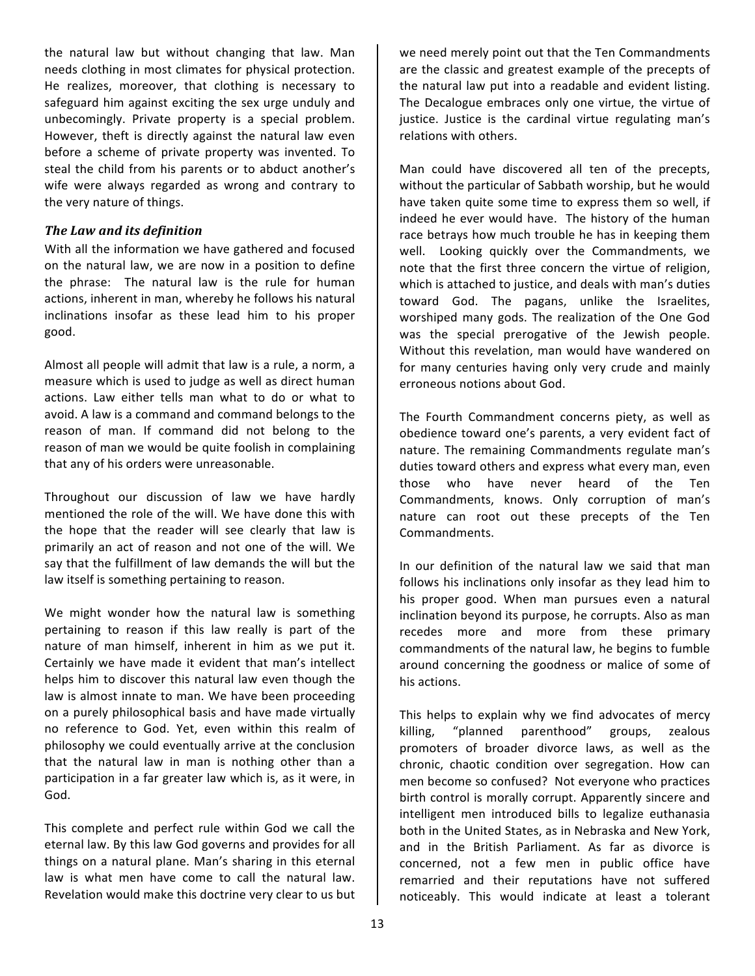the natural law but without changing that law. Man needs clothing in most climates for physical protection. He realizes, moreover, that clothing is necessary to safeguard him against exciting the sex urge unduly and unbecomingly. Private property is a special problem. However, theft is directly against the natural law even before a scheme of private property was invented. To steal the child from his parents or to abduct another's wife were always regarded as wrong and contrary to the very nature of things.

#### **The Law and its definition**

With all the information we have gathered and focused on the natural law, we are now in a position to define the phrase: The natural law is the rule for human actions, inherent in man, whereby he follows his natural inclinations insofar as these lead him to his proper good.

Almost all people will admit that law is a rule, a norm, a measure which is used to judge as well as direct human actions. Law either tells man what to do or what to avoid. A law is a command and command belongs to the reason of man. If command did not belong to the reason of man we would be quite foolish in complaining that any of his orders were unreasonable.

Throughout our discussion of law we have hardly mentioned the role of the will. We have done this with the hope that the reader will see clearly that law is primarily an act of reason and not one of the will. We say that the fulfillment of law demands the will but the law itself is something pertaining to reason.

We might wonder how the natural law is something pertaining to reason if this law really is part of the nature of man himself, inherent in him as we put it. Certainly we have made it evident that man's intellect helps him to discover this natural law even though the law is almost innate to man. We have been proceeding on a purely philosophical basis and have made virtually no reference to God. Yet, even within this realm of philosophy we could eventually arrive at the conclusion that the natural law in man is nothing other than a participation in a far greater law which is, as it were, in God.

This complete and perfect rule within God we call the eternal law. By this law God governs and provides for all things on a natural plane. Man's sharing in this eternal law is what men have come to call the natural law. Revelation would make this doctrine very clear to us but

we need merely point out that the Ten Commandments are the classic and greatest example of the precepts of the natural law put into a readable and evident listing. The Decalogue embraces only one virtue, the virtue of justice. Justice is the cardinal virtue regulating man's relations with others.

Man could have discovered all ten of the precepts, without the particular of Sabbath worship, but he would have taken quite some time to express them so well, if indeed he ever would have. The history of the human race betrays how much trouble he has in keeping them well. Looking quickly over the Commandments, we note that the first three concern the virtue of religion, which is attached to justice, and deals with man's duties toward God. The pagans, unlike the Israelites, worshiped many gods. The realization of the One God was the special prerogative of the Jewish people. Without this revelation, man would have wandered on for many centuries having only very crude and mainly erroneous notions about God.

The Fourth Commandment concerns piety, as well as obedience toward one's parents, a very evident fact of nature. The remaining Commandments regulate man's duties toward others and express what every man, even those who have never heard of the Ten Commandments, knows. Only corruption of man's nature can root out these precepts of the Ten Commandments.

In our definition of the natural law we said that man follows his inclinations only insofar as they lead him to his proper good. When man pursues even a natural inclination beyond its purpose, he corrupts. Also as man recedes more and more from these primary commandments of the natural law, he begins to fumble around concerning the goodness or malice of some of his actions.

This helps to explain why we find advocates of mercy killing, "planned parenthood" groups, zealous promoters of broader divorce laws, as well as the chronic, chaotic condition over segregation. How can men become so confused? Not everyone who practices birth control is morally corrupt. Apparently sincere and intelligent men introduced bills to legalize euthanasia both in the United States, as in Nebraska and New York, and in the British Parliament. As far as divorce is concerned, not a few men in public office have remarried and their reputations have not suffered noticeably. This would indicate at least a tolerant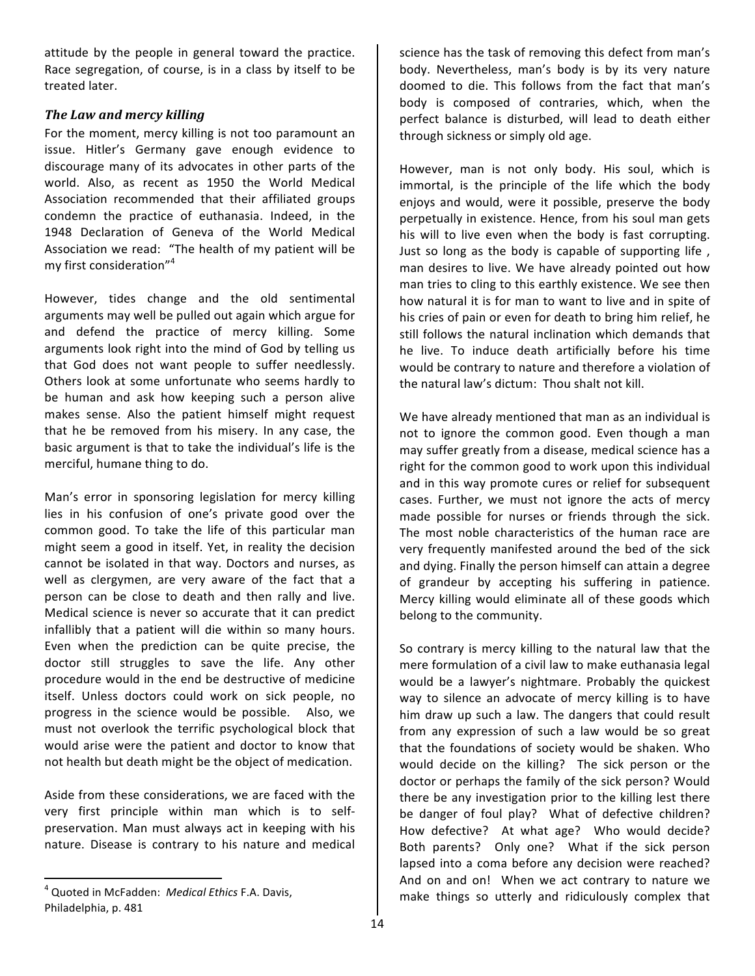attitude by the people in general toward the practice. Race segregation, of course, is in a class by itself to be treated later.

# **The Law and mercy killing**

For the moment, mercy killing is not too paramount an issue. Hitler's Germany gave enough evidence to discourage many of its advocates in other parts of the world. Also, as recent as 1950 the World Medical Association recommended that their affiliated groups condemn the practice of euthanasia. Indeed, in the 1948 Declaration of Geneva of the World Medical Association we read: "The health of my patient will be my first consideration"<sup>4</sup>

However, tides change and the old sentimental arguments may well be pulled out again which argue for and defend the practice of mercy killing. Some arguments look right into the mind of God by telling us that God does not want people to suffer needlessly. Others look at some unfortunate who seems hardly to be human and ask how keeping such a person alive makes sense. Also the patient himself might request that he be removed from his misery. In any case, the basic argument is that to take the individual's life is the merciful, humane thing to do.

Man's error in sponsoring legislation for mercy killing lies in his confusion of one's private good over the common good. To take the life of this particular man might seem a good in itself. Yet, in reality the decision cannot be isolated in that way. Doctors and nurses, as well as clergymen, are very aware of the fact that a person can be close to death and then rally and live. Medical science is never so accurate that it can predict infallibly that a patient will die within so many hours. Even when the prediction can be quite precise, the doctor still struggles to save the life. Any other procedure would in the end be destructive of medicine itself. Unless doctors could work on sick people, no progress in the science would be possible. Also, we must not overlook the terrific psychological block that would arise were the patient and doctor to know that not health but death might be the object of medication.

Aside from these considerations, we are faced with the very first principle within man which is to selfpreservation. Man must always act in keeping with his nature. Disease is contrary to his nature and medical

<u> 1989 - Johann Stein, fransk politik (d. 1989)</u>

science has the task of removing this defect from man's body. Nevertheless, man's body is by its very nature doomed to die. This follows from the fact that man's body is composed of contraries, which, when the perfect balance is disturbed, will lead to death either through sickness or simply old age.

However, man is not only body. His soul, which is immortal, is the principle of the life which the body enjoys and would, were it possible, preserve the body perpetually in existence. Hence, from his soul man gets his will to live even when the body is fast corrupting. Just so long as the body is capable of supporting life, man desires to live. We have already pointed out how man tries to cling to this earthly existence. We see then how natural it is for man to want to live and in spite of his cries of pain or even for death to bring him relief, he still follows the natural inclination which demands that he live. To induce death artificially before his time would be contrary to nature and therefore a violation of the natural law's dictum: Thou shalt not kill.

We have already mentioned that man as an individual is not to ignore the common good. Even though a man may suffer greatly from a disease, medical science has a right for the common good to work upon this individual and in this way promote cures or relief for subsequent cases. Further, we must not ignore the acts of mercy made possible for nurses or friends through the sick. The most noble characteristics of the human race are very frequently manifested around the bed of the sick and dying. Finally the person himself can attain a degree of grandeur by accepting his suffering in patience. Mercy killing would eliminate all of these goods which belong to the community.

So contrary is mercy killing to the natural law that the mere formulation of a civil law to make euthanasia legal would be a lawyer's nightmare. Probably the quickest way to silence an advocate of mercy killing is to have him draw up such a law. The dangers that could result from any expression of such a law would be so great that the foundations of society would be shaken. Who would decide on the killing? The sick person or the doctor or perhaps the family of the sick person? Would there be any investigation prior to the killing lest there be danger of foul play? What of defective children? How defective? At what age? Who would decide? Both parents? Only one? What if the sick person lapsed into a coma before any decision were reached? And on and on! When we act contrary to nature we make things so utterly and ridiculously complex that

<sup>&</sup>lt;sup>4</sup> Quoted in McFadden: *Medical Ethics* F.A. Davis, Philadelphia, p. 481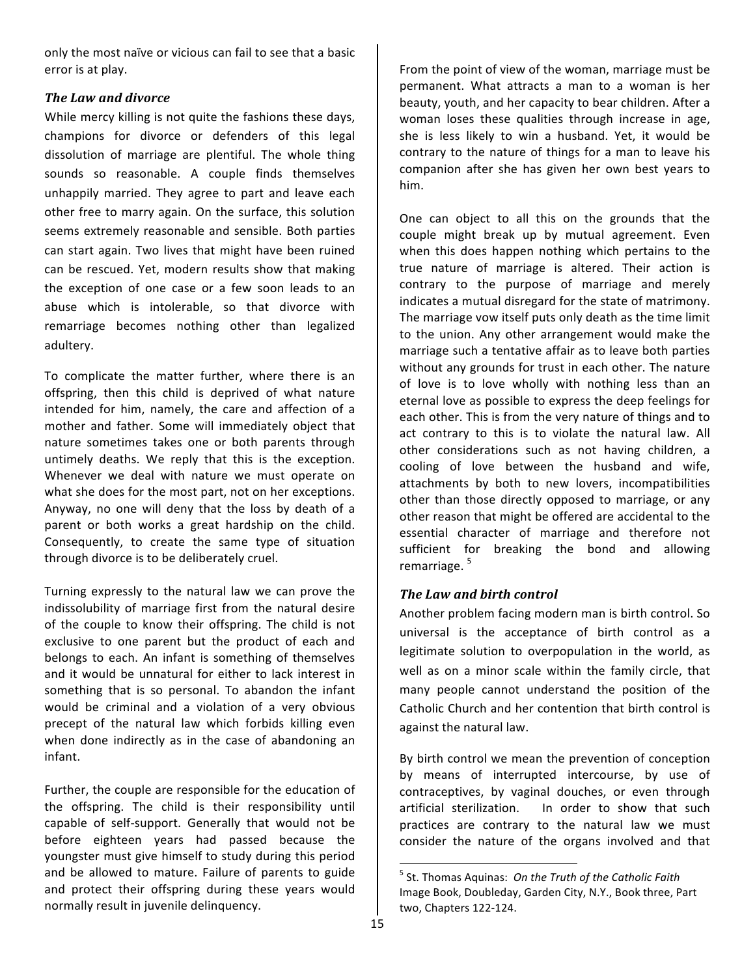only the most naïve or vicious can fail to see that a basic error is at play.

# **The Law and divorce**

While mercy killing is not quite the fashions these days, champions for divorce or defenders of this legal dissolution of marriage are plentiful. The whole thing sounds so reasonable. A couple finds themselves unhappily married. They agree to part and leave each other free to marry again. On the surface, this solution seems extremely reasonable and sensible. Both parties can start again. Two lives that might have been ruined can be rescued. Yet, modern results show that making the exception of one case or a few soon leads to an abuse which is intolerable, so that divorce with remarriage becomes nothing other than legalized adultery.

To complicate the matter further, where there is an offspring, then this child is deprived of what nature intended for him, namely, the care and affection of a mother and father. Some will immediately object that nature sometimes takes one or both parents through untimely deaths. We reply that this is the exception. Whenever we deal with nature we must operate on what she does for the most part, not on her exceptions. Anyway, no one will deny that the loss by death of a parent or both works a great hardship on the child. Consequently, to create the same type of situation through divorce is to be deliberately cruel.

Turning expressly to the natural law we can prove the indissolubility of marriage first from the natural desire of the couple to know their offspring. The child is not exclusive to one parent but the product of each and belongs to each. An infant is something of themselves and it would be unnatural for either to lack interest in something that is so personal. To abandon the infant would be criminal and a violation of a very obvious precept of the natural law which forbids killing even when done indirectly as in the case of abandoning an infant.

Further, the couple are responsible for the education of the offspring. The child is their responsibility until capable of self-support. Generally that would not be before eighteen years had passed because the youngster must give himself to study during this period and be allowed to mature. Failure of parents to guide and protect their offspring during these years would normally result in juvenile delinquency.

From the point of view of the woman, marriage must be permanent. What attracts a man to a woman is her beauty, youth, and her capacity to bear children. After a woman loses these qualities through increase in age, she is less likely to win a husband. Yet, it would be contrary to the nature of things for a man to leave his companion after she has given her own best years to him.

One can object to all this on the grounds that the couple might break up by mutual agreement. Even when this does happen nothing which pertains to the true nature of marriage is altered. Their action is contrary to the purpose of marriage and merely indicates a mutual disregard for the state of matrimony. The marriage vow itself puts only death as the time limit to the union. Any other arrangement would make the marriage such a tentative affair as to leave both parties without any grounds for trust in each other. The nature of love is to love wholly with nothing less than an eternal love as possible to express the deep feelings for each other. This is from the very nature of things and to act contrary to this is to violate the natural law. All other considerations such as not having children, a cooling of love between the husband and wife, attachments by both to new lovers, incompatibilities other than those directly opposed to marriage, or any other reason that might be offered are accidental to the essential character of marriage and therefore not sufficient for breaking the bond and allowing remarriage.<sup>5</sup>

# **The Law and birth control**

Another problem facing modern man is birth control. So universal is the acceptance of birth control as a legitimate solution to overpopulation in the world, as well as on a minor scale within the family circle, that many people cannot understand the position of the Catholic Church and her contention that birth control is against the natural law.

By birth control we mean the prevention of conception by means of interrupted intercourse, by use of contraceptives, by vaginal douches, or even through artificial sterilization. In order to show that such practices are contrary to the natural law we must consider the nature of the organs involved and that

 <sup>5</sup> St. Thomas Aquinas: *On the Truth of the Catholic Faith* Image Book, Doubleday, Garden City, N.Y., Book three, Part two, Chapters 122-124.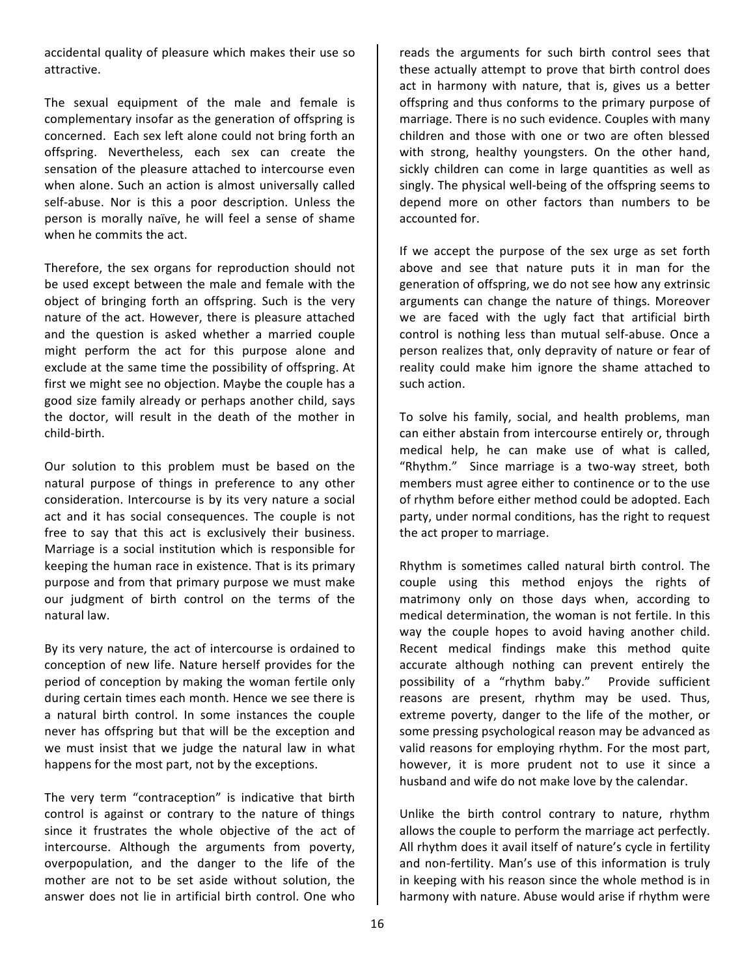accidental quality of pleasure which makes their use so attractive.

The sexual equipment of the male and female is complementary insofar as the generation of offspring is concerned. Each sex left alone could not bring forth an offspring. Nevertheless, each sex can create the sensation of the pleasure attached to intercourse even when alone. Such an action is almost universally called self-abuse. Nor is this a poor description. Unless the person is morally naïve, he will feel a sense of shame when he commits the act.

Therefore, the sex organs for reproduction should not be used except between the male and female with the object of bringing forth an offspring. Such is the very nature of the act. However, there is pleasure attached and the question is asked whether a married couple might perform the act for this purpose alone and exclude at the same time the possibility of offspring. At first we might see no objection. Maybe the couple has a good size family already or perhaps another child, says the doctor, will result in the death of the mother in child-birth. 

Our solution to this problem must be based on the natural purpose of things in preference to any other consideration. Intercourse is by its very nature a social act and it has social consequences. The couple is not free to say that this act is exclusively their business. Marriage is a social institution which is responsible for keeping the human race in existence. That is its primary purpose and from that primary purpose we must make our judgment of birth control on the terms of the natural law.

By its very nature, the act of intercourse is ordained to conception of new life. Nature herself provides for the period of conception by making the woman fertile only during certain times each month. Hence we see there is a natural birth control. In some instances the couple never has offspring but that will be the exception and we must insist that we judge the natural law in what happens for the most part, not by the exceptions.

The very term "contraception" is indicative that birth control is against or contrary to the nature of things since it frustrates the whole objective of the act of intercourse. Although the arguments from poverty, overpopulation, and the danger to the life of the mother are not to be set aside without solution, the answer does not lie in artificial birth control. One who

reads the arguments for such birth control sees that these actually attempt to prove that birth control does act in harmony with nature, that is, gives us a better offspring and thus conforms to the primary purpose of marriage. There is no such evidence. Couples with many children and those with one or two are often blessed with strong, healthy youngsters. On the other hand, sickly children can come in large quantities as well as singly. The physical well-being of the offspring seems to depend more on other factors than numbers to be accounted for.

If we accept the purpose of the sex urge as set forth above and see that nature puts it in man for the generation of offspring, we do not see how any extrinsic arguments can change the nature of things. Moreover we are faced with the ugly fact that artificial birth control is nothing less than mutual self-abuse. Once a person realizes that, only depravity of nature or fear of reality could make him ignore the shame attached to such action.

To solve his family, social, and health problems, man can either abstain from intercourse entirely or, through medical help, he can make use of what is called, "Rhythm." Since marriage is a two-way street, both members must agree either to continence or to the use of rhythm before either method could be adopted. Each party, under normal conditions, has the right to request the act proper to marriage.

Rhythm is sometimes called natural birth control. The couple using this method enjoys the rights of matrimony only on those days when, according to medical determination, the woman is not fertile. In this way the couple hopes to avoid having another child. Recent medical findings make this method quite accurate although nothing can prevent entirely the possibility of a "rhythm baby." Provide sufficient reasons are present, rhythm may be used. Thus, extreme poverty, danger to the life of the mother, or some pressing psychological reason may be advanced as valid reasons for employing rhythm. For the most part, however, it is more prudent not to use it since a husband and wife do not make love by the calendar.

Unlike the birth control contrary to nature, rhythm allows the couple to perform the marriage act perfectly. All rhythm does it avail itself of nature's cycle in fertility and non-fertility. Man's use of this information is truly in keeping with his reason since the whole method is in harmony with nature. Abuse would arise if rhythm were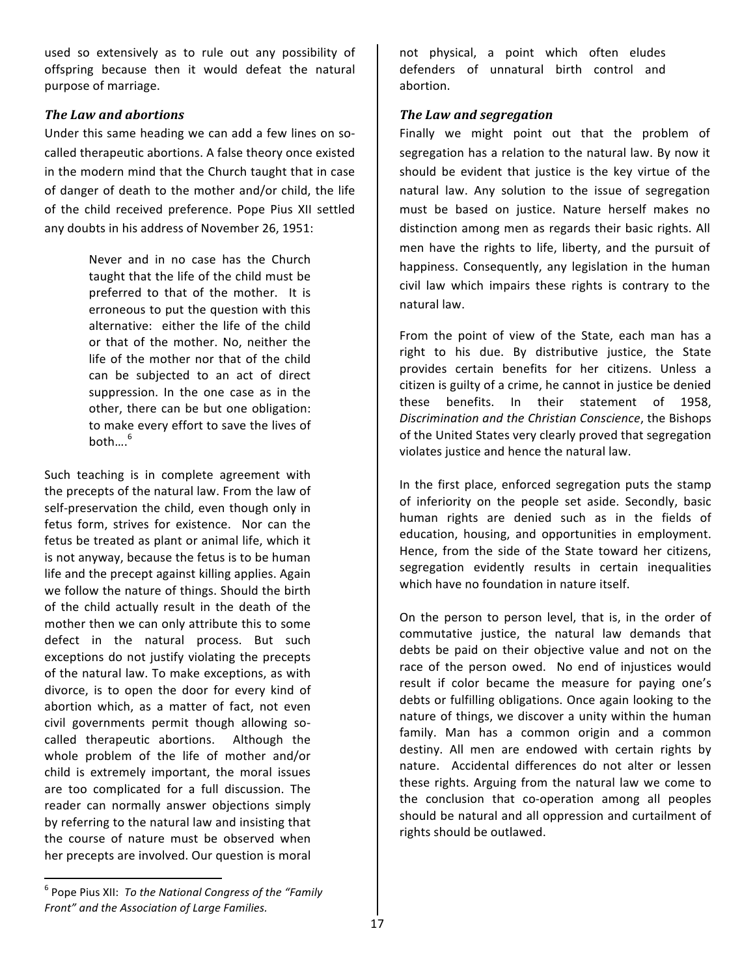used so extensively as to rule out any possibility of offspring because then it would defeat the natural purpose of marriage.

## *The Law and abortions*

Under this same heading we can add a few lines on socalled therapeutic abortions. A false theory once existed in the modern mind that the Church taught that in case of danger of death to the mother and/or child, the life of the child received preference. Pope Pius XII settled any doubts in his address of November 26, 1951:

> Never and in no case has the Church taught that the life of the child must be preferred to that of the mother. It is erroneous to put the question with this alternative: either the life of the child or that of the mother. No, neither the life of the mother nor that of the child can be subjected to an act of direct suppression. In the one case as in the other, there can be but one obligation: to make every effort to save the lives of both $\ldots$ <sup>6</sup>

Such teaching is in complete agreement with the precepts of the natural law. From the law of self-preservation the child, even though only in fetus form, strives for existence. Nor can the fetus be treated as plant or animal life, which it is not anyway, because the fetus is to be human life and the precept against killing applies. Again we follow the nature of things. Should the birth of the child actually result in the death of the mother then we can only attribute this to some defect in the natural process. But such exceptions do not justify violating the precepts of the natural law. To make exceptions, as with divorce, is to open the door for every kind of abortion which, as a matter of fact, not even civil governments permit though allowing socalled therapeutic abortions. Although the whole problem of the life of mother and/or child is extremely important, the moral issues are too complicated for a full discussion. The reader can normally answer objections simply by referring to the natural law and insisting that the course of nature must be observed when her precepts are involved. Our question is moral

not physical, a point which often eludes defenders of unnatural birth control and abortion.

## **The Law and segregation**

Finally we might point out that the problem of segregation has a relation to the natural law. By now it should be evident that justice is the key virtue of the natural law. Any solution to the issue of segregation must be based on justice. Nature herself makes no distinction among men as regards their basic rights. All men have the rights to life, liberty, and the pursuit of happiness. Consequently, any legislation in the human civil law which impairs these rights is contrary to the natural law.

From the point of view of the State, each man has a right to his due. By distributive justice, the State provides certain benefits for her citizens. Unless a citizen is guilty of a crime, he cannot in justice be denied these benefits. In their statement of 1958, *Discrimination and the Christian Conscience*, the Bishops of the United States very clearly proved that segregation violates justice and hence the natural law.

In the first place, enforced segregation puts the stamp of inferiority on the people set aside. Secondly, basic human rights are denied such as in the fields of education, housing, and opportunities in employment. Hence, from the side of the State toward her citizens, segregation evidently results in certain inequalities which have no foundation in nature itself.

On the person to person level, that is, in the order of commutative justice, the natural law demands that debts be paid on their objective value and not on the race of the person owed. No end of injustices would result if color became the measure for paying one's debts or fulfilling obligations. Once again looking to the nature of things, we discover a unity within the human family. Man has a common origin and a common destiny. All men are endowed with certain rights by nature. Accidental differences do not alter or lessen these rights. Arguing from the natural law we come to the conclusion that co-operation among all peoples should be natural and all oppression and curtailment of rights should be outlawed.

<u> 1989 - Johann Stein, fransk politik (d. 1989)</u>

 $^6$  Pope Pius XII: To the National Congress of the "Family *Front" and the Association of Large Families.*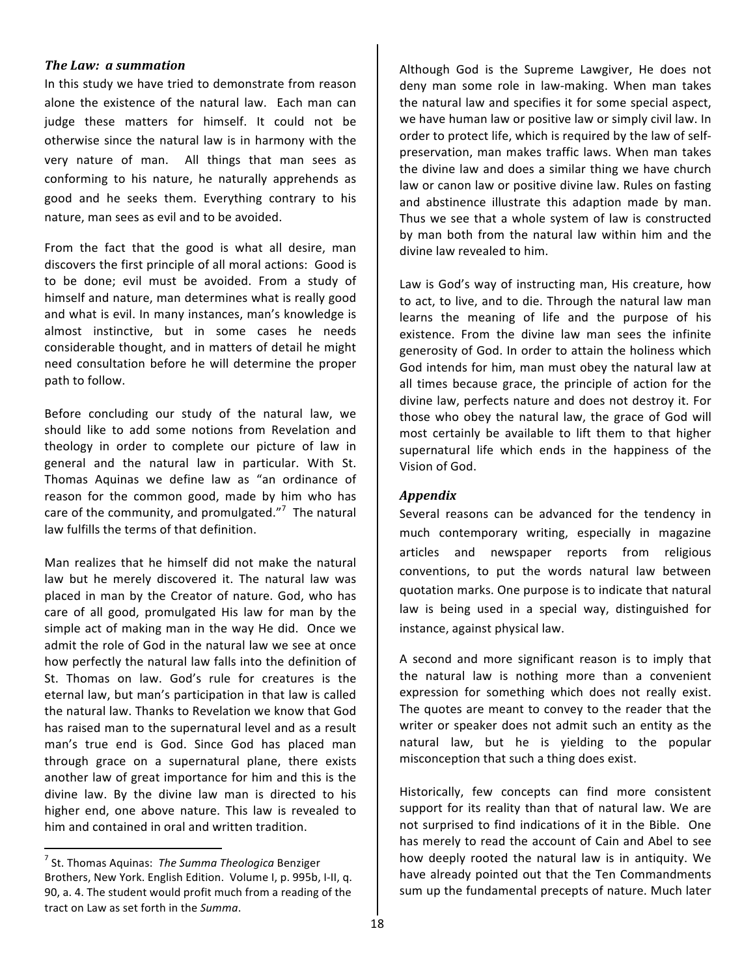#### *The Law: a summation*

In this study we have tried to demonstrate from reason alone the existence of the natural law. Each man can judge these matters for himself. It could not be otherwise since the natural law is in harmony with the very nature of man. All things that man sees as conforming to his nature, he naturally apprehends as good and he seeks them. Everything contrary to his nature, man sees as evil and to be avoided.

From the fact that the good is what all desire, man discovers the first principle of all moral actions: Good is to be done; evil must be avoided. From a study of himself and nature, man determines what is really good and what is evil. In many instances, man's knowledge is almost instinctive, but in some cases he needs considerable thought, and in matters of detail he might need consultation before he will determine the proper path to follow.

Before concluding our study of the natural law, we should like to add some notions from Revelation and theology in order to complete our picture of law in general and the natural law in particular. With St. Thomas Aquinas we define law as "an ordinance of reason for the common good, made by him who has care of the community, and promulgated."<sup>7</sup> The natural law fulfills the terms of that definition.

Man realizes that he himself did not make the natural law but he merely discovered it. The natural law was placed in man by the Creator of nature. God, who has care of all good, promulgated His law for man by the simple act of making man in the way He did. Once we admit the role of God in the natural law we see at once how perfectly the natural law falls into the definition of St. Thomas on law. God's rule for creatures is the eternal law, but man's participation in that law is called the natural law. Thanks to Revelation we know that God has raised man to the supernatural level and as a result man's true end is God. Since God has placed man through grace on a supernatural plane, there exists another law of great importance for him and this is the divine law. By the divine law man is directed to his higher end, one above nature. This law is revealed to him and contained in oral and written tradition.

<u> 1989 - Johann Stein, fransk politik (d. 1989)</u>

Although God is the Supreme Lawgiver, He does not deny man some role in law-making. When man takes the natural law and specifies it for some special aspect, we have human law or positive law or simply civil law. In order to protect life, which is required by the law of selfpreservation, man makes traffic laws. When man takes the divine law and does a similar thing we have church law or canon law or positive divine law. Rules on fasting and abstinence illustrate this adaption made by man. Thus we see that a whole system of law is constructed by man both from the natural law within him and the divine law revealed to him.

Law is God's way of instructing man, His creature, how to act, to live, and to die. Through the natural law man learns the meaning of life and the purpose of his existence. From the divine law man sees the infinite generosity of God. In order to attain the holiness which God intends for him, man must obey the natural law at all times because grace, the principle of action for the divine law, perfects nature and does not destroy it. For those who obey the natural law, the grace of God will most certainly be available to lift them to that higher supernatural life which ends in the happiness of the Vision of God.

# *Appendix*

Several reasons can be advanced for the tendency in much contemporary writing, especially in magazine articles and newspaper reports from religious conventions, to put the words natural law between quotation marks. One purpose is to indicate that natural law is being used in a special way, distinguished for instance, against physical law.

A second and more significant reason is to imply that the natural law is nothing more than a convenient expression for something which does not really exist. The quotes are meant to convey to the reader that the writer or speaker does not admit such an entity as the natural law, but he is yielding to the popular misconception that such a thing does exist.

Historically, few concepts can find more consistent support for its reality than that of natural law. We are not surprised to find indications of it in the Bible. One has merely to read the account of Cain and Abel to see how deeply rooted the natural law is in antiquity. We have already pointed out that the Ten Commandments sum up the fundamental precepts of nature. Much later

<sup>&</sup>lt;sup>7</sup> St. Thomas Aquinas: The Summa Theologica Benziger Brothers, New York. English Edition. Volume I, p. 995b, I-II, q. 90, a. 4. The student would profit much from a reading of the tract on Law as set forth in the *Summa*.